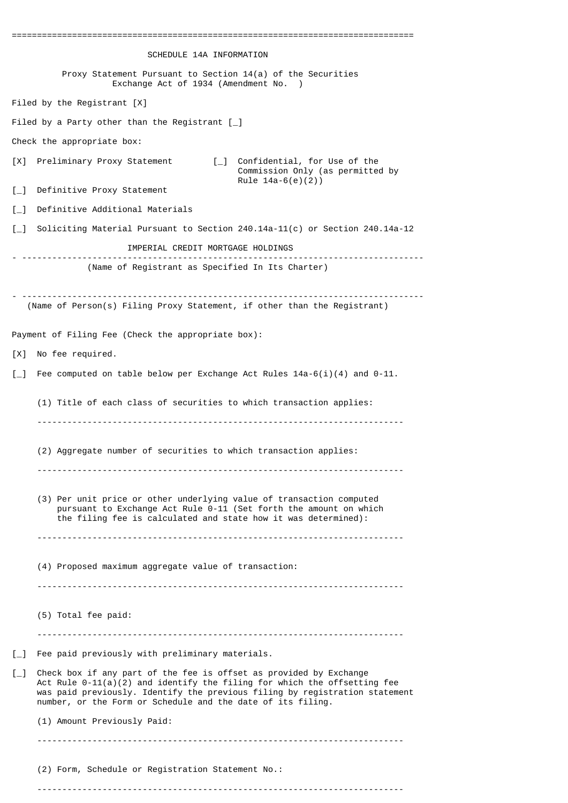| ================================<br>SCHEDULE 14A INFORMATION                                                                                                                                                                                                                                                   |
|----------------------------------------------------------------------------------------------------------------------------------------------------------------------------------------------------------------------------------------------------------------------------------------------------------------|
| Proxy Statement Pursuant to Section $14(a)$ of the Securities                                                                                                                                                                                                                                                  |
| Exchange Act of 1934 (Amendment No. )                                                                                                                                                                                                                                                                          |
| Filed by the Registrant $[X]$                                                                                                                                                                                                                                                                                  |
| Filed by a Party other than the Registrant $[\ ]$                                                                                                                                                                                                                                                              |
| Check the appropriate box:                                                                                                                                                                                                                                                                                     |
| Confidential, for Use of the<br>Preliminary Proxy Statement<br>$\Box$<br>[X]<br>Commission Only (as permitted by<br>Rule $14a-6(e)(2)$                                                                                                                                                                         |
| $\left[\begin{matrix}1\\1\end{matrix}\right]$<br>Definitive Proxy Statement                                                                                                                                                                                                                                    |
| Definitive Additional Materials<br>$\left[\begin{matrix}1\\1\end{matrix}\right]$                                                                                                                                                                                                                               |
| $\left[\begin{matrix}1\\1\end{matrix}\right]$<br>Soliciting Material Pursuant to Section 240.14a-11(c) or Section 240.14a-12                                                                                                                                                                                   |
| IMPERIAL CREDIT MORTGAGE HOLDINGS                                                                                                                                                                                                                                                                              |
| (Name of Registrant as Specified In Its Charter)                                                                                                                                                                                                                                                               |
| (Name of Person(s) Filing Proxy Statement, if other than the Registrant)                                                                                                                                                                                                                                       |
| Payment of Filing Fee (Check the appropriate box):                                                                                                                                                                                                                                                             |
| No fee required.<br>[X]                                                                                                                                                                                                                                                                                        |
| Fee computed on table below per Exchange Act Rules $14a-6(i)(4)$ and 0-11.<br>$\left[\begin{matrix}1\\1\end{matrix}\right]$                                                                                                                                                                                    |
| (1) Title of each class of securities to which transaction applies:                                                                                                                                                                                                                                            |
| (2) Aggregate number of securities to which transaction applies:                                                                                                                                                                                                                                               |
| (3) Per unit price or other underlying value of transaction computed<br>pursuant to Exchange Act Rule 0-11 (Set forth the amount on which<br>the filing fee is calculated and state how it was determined):                                                                                                    |
| (4) Proposed maximum aggregate value of transaction:<br>---------------------------------<br>--------------------------------                                                                                                                                                                                  |
| (5) Total fee paid:                                                                                                                                                                                                                                                                                            |
| Fee paid previously with preliminary materials.<br>$\left[\_ \right]$                                                                                                                                                                                                                                          |
| Check box if any part of the fee is offset as provided by Exchange<br>$\mathsf{L}$<br>Act Rule $0-11(a)(2)$ and identify the filing for which the offsetting fee<br>was paid previously. Identify the previous filing by registration statement<br>number, or the Form or Schedule and the date of its filing. |
| (1) Amount Previously Paid:                                                                                                                                                                                                                                                                                    |
| (2) Form, Schedule or Registration Statement No.:                                                                                                                                                                                                                                                              |

-------------------------------------------------------------------------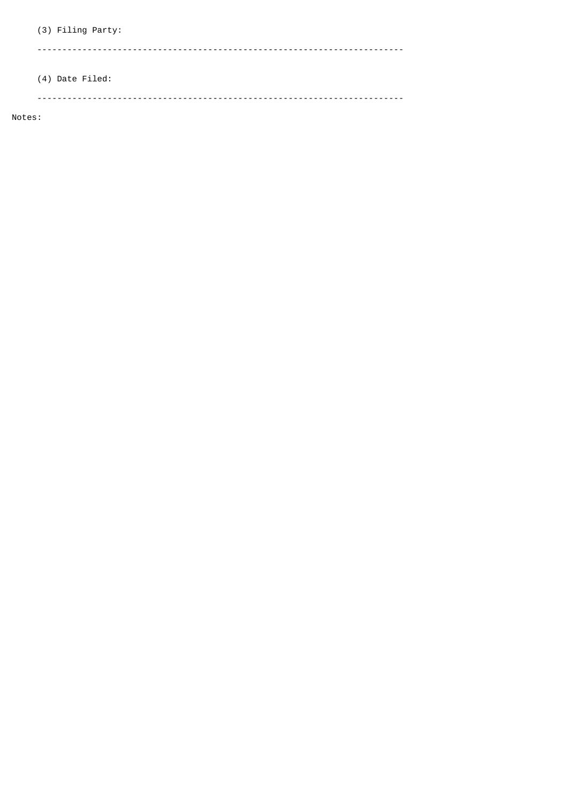(3) Filing Party: 

# (4) Date Filed:

Notes: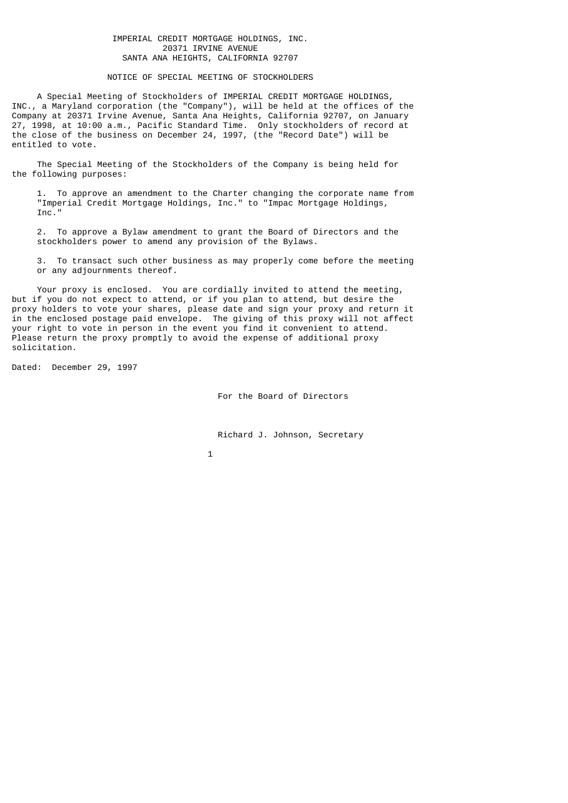# IMPERIAL CREDIT MORTGAGE HOLDINGS, INC. 20371 IRVINE AVENUE SANTA ANA HEIGHTS, CALIFORNIA 92707

NOTICE OF SPECIAL MEETING OF STOCKHOLDERS

 A Special Meeting of Stockholders of IMPERIAL CREDIT MORTGAGE HOLDINGS, INC., a Maryland corporation (the "Company"), will be held at the offices of the Company at 20371 Irvine Avenue, Santa Ana Heights, California 92707, on January 27, 1998, at 10:00 a.m., Pacific Standard Time. Only stockholders of record at the close of the business on December 24, 1997, (the "Record Date") will be entitled to vote.

 The Special Meeting of the Stockholders of the Company is being held for the following purposes:

 1. To approve an amendment to the Charter changing the corporate name from "Imperial Credit Mortgage Holdings, Inc." to "Impac Mortgage Holdings, Inc."

 2. To approve a Bylaw amendment to grant the Board of Directors and the stockholders power to amend any provision of the Bylaws.

 3. To transact such other business as may properly come before the meeting or any adjournments thereof.

 Your proxy is enclosed. You are cordially invited to attend the meeting, but if you do not expect to attend, or if you plan to attend, but desire the proxy holders to vote your shares, please date and sign your proxy and return it in the enclosed postage paid envelope. The giving of this proxy will not affect your right to vote in person in the event you find it convenient to attend. Please return the proxy promptly to avoid the expense of additional proxy solicitation.

Dated: December 29, 1997

For the Board of Directors

Richard J. Johnson, Secretary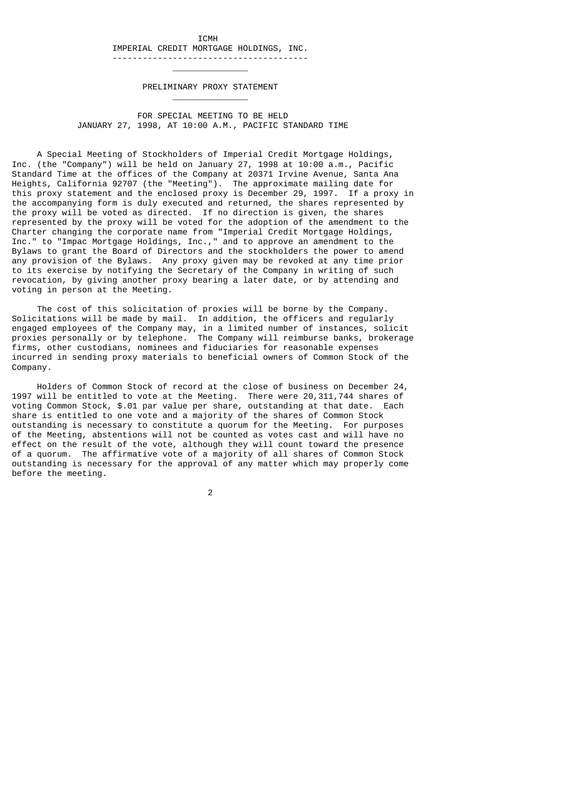ICMH IMPERIAL CREDIT MORTGAGE HOLDINGS, INC. ---------------------------------------

\_\_\_\_\_\_\_\_\_\_\_\_\_\_\_

 $\mathcal{L}_\text{max}$  and  $\mathcal{L}_\text{max}$  and  $\mathcal{L}_\text{max}$  and  $\mathcal{L}_\text{max}$  and  $\mathcal{L}_\text{max}$ 

PRELIMINARY PROXY STATEMENT

 FOR SPECIAL MEETING TO BE HELD JANUARY 27, 1998, AT 10:00 A.M., PACIFIC STANDARD TIME

 A Special Meeting of Stockholders of Imperial Credit Mortgage Holdings, Inc. (the "Company") will be held on January 27, 1998 at 10:00 a.m., Pacific Standard Time at the offices of the Company at 20371 Irvine Avenue, Santa Ana Heights, California 92707 (the "Meeting"). The approximate mailing date for this proxy statement and the enclosed proxy is December 29, 1997. If a proxy in the accompanying form is duly executed and returned, the shares represented by the proxy will be voted as directed. If no direction is given, the shares represented by the proxy will be voted for the adoption of the amendment to the Charter changing the corporate name from "Imperial Credit Mortgage Holdings, Inc." to "Impac Mortgage Holdings, Inc.," and to approve an amendment to the Bylaws to grant the Board of Directors and the stockholders the power to amend any provision of the Bylaws. Any proxy given may be revoked at any time prior to its exercise by notifying the Secretary of the Company in writing of such revocation, by giving another proxy bearing a later date, or by attending and voting in person at the Meeting.

 The cost of this solicitation of proxies will be borne by the Company. Solicitations will be made by mail. In addition, the officers and regularly engaged employees of the Company may, in a limited number of instances, solicit proxies personally or by telephone. The Company will reimburse banks, brokerage firms, other custodians, nominees and fiduciaries for reasonable expenses incurred in sending proxy materials to beneficial owners of Common Stock of the Company.

 Holders of Common Stock of record at the close of business on December 24, 1997 will be entitled to vote at the Meeting. There were 20,311,744 shares of voting Common Stock, \$.01 par value per share, outstanding at that date. Each share is entitled to one vote and a majority of the shares of Common Stock outstanding is necessary to constitute a quorum for the Meeting. For purposes of the Meeting, abstentions will not be counted as votes cast and will have no effect on the result of the vote, although they will count toward the presence of a quorum. The affirmative vote of a majority of all shares of Common Stock outstanding is necessary for the approval of any matter which may properly come before the meeting.

2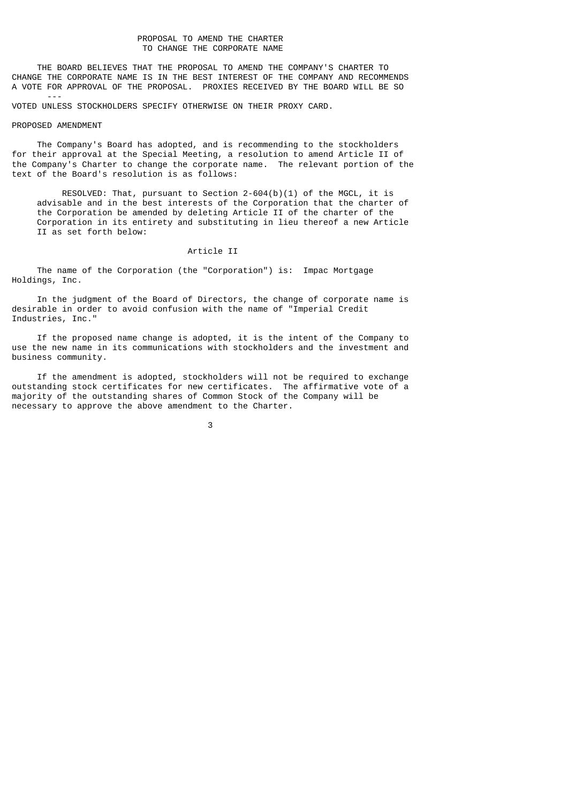# PROPOSAL TO AMEND THE CHARTER TO CHANGE THE CORPORATE NAME

 THE BOARD BELIEVES THAT THE PROPOSAL TO AMEND THE COMPANY'S CHARTER TO CHANGE THE CORPORATE NAME IS IN THE BEST INTEREST OF THE COMPANY AND RECOMMENDS A VOTE FOR APPROVAL OF THE PROPOSAL. PROXIES RECEIVED BY THE BOARD WILL BE SO

VOTED UNLESS STOCKHOLDERS SPECIFY OTHERWISE ON THEIR PROXY CARD.

#### PROPOSED AMENDMENT

---

 The Company's Board has adopted, and is recommending to the stockholders for their approval at the Special Meeting, a resolution to amend Article II of the Company's Charter to change the corporate name. The relevant portion of the text of the Board's resolution is as follows:

 RESOLVED: That, pursuant to Section 2-604(b)(1) of the MGCL, it is advisable and in the best interests of the Corporation that the charter of the Corporation be amended by deleting Article II of the charter of the Corporation in its entirety and substituting in lieu thereof a new Article II as set forth below:

## Article II

 The name of the Corporation (the "Corporation") is: Impac Mortgage Holdings, Inc.

 In the judgment of the Board of Directors, the change of corporate name is desirable in order to avoid confusion with the name of "Imperial Credit Industries, Inc."

 If the proposed name change is adopted, it is the intent of the Company to use the new name in its communications with stockholders and the investment and business community.

 If the amendment is adopted, stockholders will not be required to exchange outstanding stock certificates for new certificates. The affirmative vote of a majority of the outstanding shares of Common Stock of the Company will be necessary to approve the above amendment to the Charter.

 $\sim$  3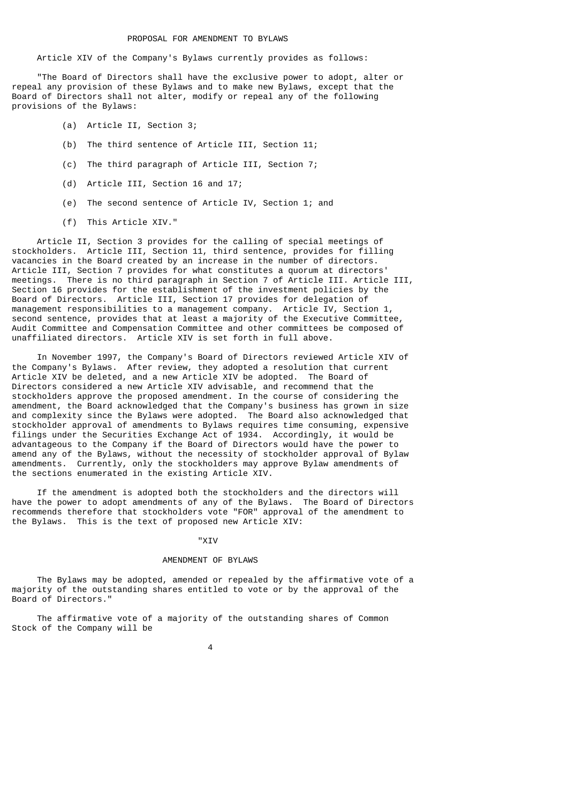Article XIV of the Company's Bylaws currently provides as follows:

 "The Board of Directors shall have the exclusive power to adopt, alter or repeal any provision of these Bylaws and to make new Bylaws, except that the Board of Directors shall not alter, modify or repeal any of the following provisions of the Bylaws:

- (a) Article II, Section 3;
- (b) The third sentence of Article III, Section 11;
- (c) The third paragraph of Article III, Section 7;
- (d) Article III, Section 16 and 17;
- (e) The second sentence of Article IV, Section 1; and
- (f) This Article XIV."

 Article II, Section 3 provides for the calling of special meetings of stockholders. Article III, Section 11, third sentence, provides for filling vacancies in the Board created by an increase in the number of directors. Article III, Section 7 provides for what constitutes a quorum at directors' meetings. There is no third paragraph in Section 7 of Article III. Article III, Section 16 provides for the establishment of the investment policies by the Board of Directors. Article III, Section 17 provides for delegation of management responsibilities to a management company. Article IV, Section 1, second sentence, provides that at least a majority of the Executive Committee. Audit Committee and Compensation Committee and other committees be composed of unaffiliated directors. Article XIV is set forth in full above.

 In November 1997, the Company's Board of Directors reviewed Article XIV of the Company's Bylaws. After review, they adopted a resolution that current Article XIV be deleted, and a new Article XIV be adopted. The Board of Directors considered a new Article XIV advisable, and recommend that the stockholders approve the proposed amendment. In the course of considering the amendment, the Board acknowledged that the Company's business has grown in size and complexity since the Bylaws were adopted. The Board also acknowledged that stockholder approval of amendments to Bylaws requires time consuming, expensive filings under the Securities Exchange Act of 1934. Accordingly, it would be advantageous to the Company if the Board of Directors would have the power to amend any of the Bylaws, without the necessity of stockholder approval of Bylaw amendments. Currently, only the stockholders may approve Bylaw amendments of the sections enumerated in the existing Article XIV.

 If the amendment is adopted both the stockholders and the directors will have the power to adopt amendments of any of the Bylaws. The Board of Directors recommends therefore that stockholders vote "FOR" approval of the amendment to the Bylaws. This is the text of proposed new Article XIV:

#### "XIV

# AMENDMENT OF BYLAWS

 The Bylaws may be adopted, amended or repealed by the affirmative vote of a majority of the outstanding shares entitled to vote or by the approval of the Board of Directors."

 The affirmative vote of a majority of the outstanding shares of Common Stock of the Company will be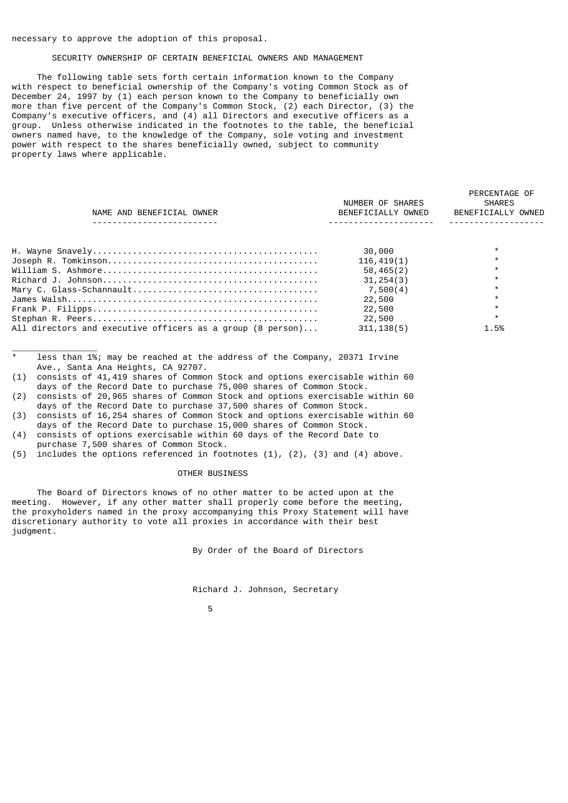## necessary to approve the adoption of this proposal.

\_\_\_\_\_\_\_\_\_\_\_\_\_\_\_\_\_

# SECURITY OWNERSHIP OF CERTAIN BENEFICIAL OWNERS AND MANAGEMENT

 The following table sets forth certain information known to the Company with respect to beneficial ownership of the Company's voting Common Stock as of December 24, 1997 by (1) each person known to the Company to beneficially own more than five percent of the Company's Common Stock, (2) each Director, (3) the Company's executive officers, and (4) all Directors and executive officers as a group. Unless otherwise indicated in the footnotes to the table, the beneficial owners named have, to the knowledge of the Company, sole voting and investment power with respect to the shares beneficially owned, subject to community property laws where applicable.

|                                                            | NUMBER OF SHARES   | PERCENTAGE OF<br><b>SHARES</b> |
|------------------------------------------------------------|--------------------|--------------------------------|
|                                                            |                    |                                |
| NAME AND BENEFICIAL OWNER                                  | BENEFICIALLY OWNED | BENEFICIALLY OWNED             |
|                                                            |                    |                                |
|                                                            | 30,000             |                                |
|                                                            | 116, 419(1)        |                                |
|                                                            | 58,465(2)          |                                |
|                                                            | 31, 254(3)         | $\star$                        |
|                                                            | 7,500(4)           |                                |
|                                                            | 22,500             |                                |
|                                                            | 22,500             |                                |
|                                                            | 22,500             |                                |
| All directors and executive officers as a group (8 person) | 311, 138(5)        | 1.5%                           |

less than 1%; may be reached at the address of the Company, 20371 Irvine Ave., Santa Ana Heights, CA 92707.

- (1) consists of 41,419 shares of Common Stock and options exercisable within 60 days of the Record Date to purchase 75,000 shares of Common Stock.
- (2) consists of 20,965 shares of Common Stock and options exercisable within 60 days of the Record Date to purchase 37,500 shares of Common Stock.
- (3) consists of 16,254 shares of Common Stock and options exercisable within 60 days of the Record Date to purchase 15,000 shares of Common Stock.
- (4) consists of options exercisable within 60 days of the Record Date to purchase 7,500 shares of Common Stock.
- (5) includes the options referenced in footnotes (1), (2), (3) and (4) above.

# OTHER BUSINESS

 The Board of Directors knows of no other matter to be acted upon at the meeting. However, if any other matter shall properly come before the meeting, the proxyholders named in the proxy accompanying this Proxy Statement will have discretionary authority to vote all proxies in accordance with their best judgment.

By Order of the Board of Directors

Richard J. Johnson, Secretary

the contract of the contract of the contract of the contract of the contract of the contract of the contract o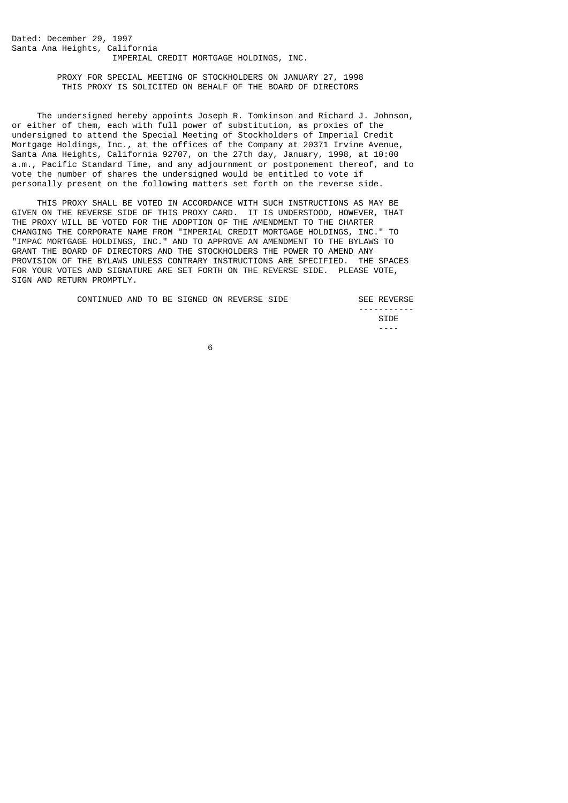Dated: December 29, 1997 Santa Ana Heights, California IMPERIAL CREDIT MORTGAGE HOLDINGS, INC.

> PROXY FOR SPECIAL MEETING OF STOCKHOLDERS ON JANUARY 27, 1998 THIS PROXY IS SOLICITED ON BEHALF OF THE BOARD OF DIRECTORS

 The undersigned hereby appoints Joseph R. Tomkinson and Richard J. Johnson, or either of them, each with full power of substitution, as proxies of the undersigned to attend the Special Meeting of Stockholders of Imperial Credit Mortgage Holdings, Inc., at the offices of the Company at 20371 Irvine Avenue, Santa Ana Heights, California 92707, on the 27th day, January, 1998, at 10:00 a.m., Pacific Standard Time, and any adjournment or postponement thereof, and to vote the number of shares the undersigned would be entitled to vote if personally present on the following matters set forth on the reverse side.

 THIS PROXY SHALL BE VOTED IN ACCORDANCE WITH SUCH INSTRUCTIONS AS MAY BE GIVEN ON THE REVERSE SIDE OF THIS PROXY CARD. IT IS UNDERSTOOD, HOWEVER, THAT THE PROXY WILL BE VOTED FOR THE ADOPTION OF THE AMENDMENT TO THE CHARTER CHANGING THE CORPORATE NAME FROM "IMPERIAL CREDIT MORTGAGE HOLDINGS, INC." TO "IMPAC MORTGAGE HOLDINGS, INC." AND TO APPROVE AN AMENDMENT TO THE BYLAWS TO GRANT THE BOARD OF DIRECTORS AND THE STOCKHOLDERS THE POWER TO AMEND ANY PROVISION OF THE BYLAWS UNLESS CONTRARY INSTRUCTIONS ARE SPECIFIED. THE SPACES FOR YOUR VOTES AND SIGNATURE ARE SET FORTH ON THE REVERSE SIDE. PLEASE VOTE, SIGN AND RETURN PROMPTLY.

CONTINUED AND TO BE SIGNED ON REVERSE SIDE SEE REVERSE

 ----------- **SIDE** STIPE STIPS AND STIPS AND STIPS AND STIPS AND STIPS AND STIPS AND STIPS AND STIPS AND STIPS AND STIPS AND STIPS AND STIPS AND STIPS AND STIPS AND STIPS AND STIPS AND STIPS AND STIPS AND STIPS AND STIPS AND STIPS AND ----

 $\sim$  6